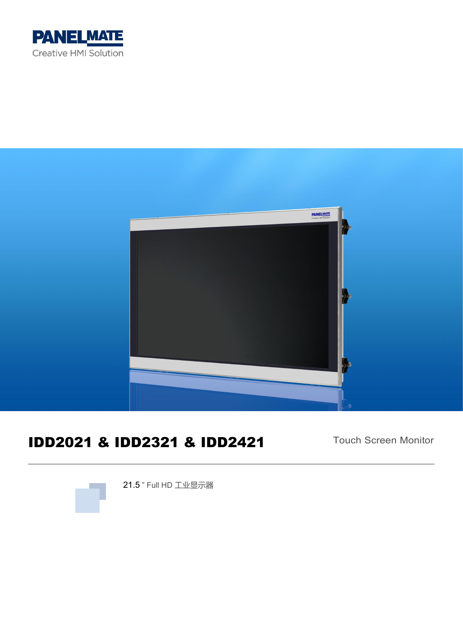



# IDD2021 & IDD2321 & IDD2421

Touch Screen Monitor



21.5 " Full HD 工业显示器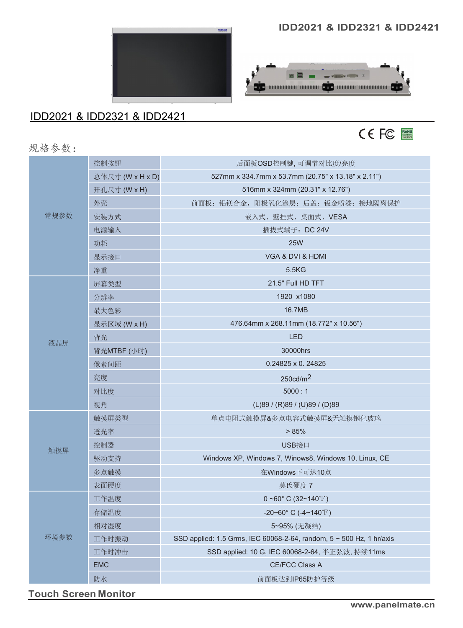

# IDD2021 & IDD2321 & IDD2421

#### **IDD2021 & IDD2321 & IDD2421**





规格参数:

| 常规参数 | 控制按钮             | 后面板OSD控制键,可调节对比度/亮度                                                  |  |
|------|------------------|----------------------------------------------------------------------|--|
|      | 总体尺寸 (W x H x D) | 527mm x 334.7mm x 53.7mm (20.75" x 13.18" x 2.11")                   |  |
|      | 开孔尺寸 (W x H)     | 516mm x 324mm (20.31" x 12.76")                                      |  |
|      | 外壳               | 前面板: 铝镁合金, 阳极氧化涂层; 后盖: 钣金喷漆; 接地隔离保护                                  |  |
|      | 安装方式             | 嵌入式、壁挂式、桌面式、VESA                                                     |  |
|      | 电源输入             | 插拔式端子: DC 24V                                                        |  |
|      | 功耗               | <b>25W</b>                                                           |  |
|      | 显示接口             | VGA & DVI & HDMI                                                     |  |
|      | 净重               | 5.5KG                                                                |  |
|      | 屏幕类型             | 21.5" Full HD TFT                                                    |  |
|      | 分辨率              | 1920 x1080                                                           |  |
| 液晶屏  | 最大色彩             | 16.7MB                                                               |  |
|      | 显示区域 (W x H)     | 476.64mm x 268.11mm (18.772" x 10.56")                               |  |
|      | 背光               | <b>LED</b>                                                           |  |
|      | 背光MTBF (小时)      | 30000hrs                                                             |  |
|      | 像素间距             | 0.24825 x 0.24825                                                    |  |
|      | 亮度               | 250cd/m <sup>2</sup>                                                 |  |
|      | 对比度              | 5000:1                                                               |  |
|      | 视角               | (L)89 / (R)89 / (U)89 / (D)89                                        |  |
|      | 触摸屏类型            | 单点电阻式触摸屏&多点电容式触摸屏&无触摸钢化玻璃                                            |  |
|      | 透光率              | > 85%                                                                |  |
|      | 控制器              | USB接口                                                                |  |
| 触摸屏  | 驱动支持             | Windows XP, Windows 7, Winows8, Windows 10, Linux, CE                |  |
|      | 多点触摸             | 在Windows下可达10点                                                       |  |
|      | 表面硬度             | 莫氏硬度 7                                                               |  |
| 环境参数 | 工作温度             | $0~$ ~60° C (32~140°F)                                               |  |
|      | 存储温度             | -20~60° C (-4~140°F)                                                 |  |
|      | 相对湿度             | 5~95% (无凝结)                                                          |  |
|      | 工作时振动            | SSD applied: 1.5 Grms, IEC 60068-2-64, random, 5 ~ 500 Hz, 1 hr/axis |  |
|      | 工作时冲击            | SSD applied: 10 G, IEC 60068-2-64, 半正弦波, 持续11ms                      |  |
|      | <b>EMC</b>       | CE/FCC Class A                                                       |  |
|      | 防水               | 前面板达到IP65防护等级                                                        |  |

**Touch Screen Monitor**